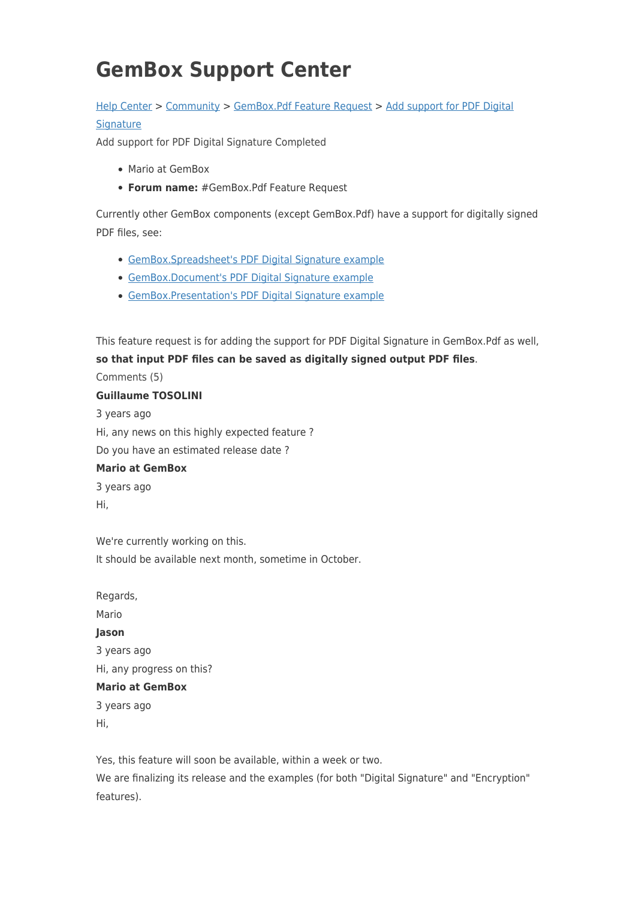# **GemBox Support Center**

# [Help Center](https://support.gemboxsoftware.com/) > [Community](https://support.gemboxsoftware.com/community) > [GemBox.Pdf Feature Request](https://support.gemboxsoftware.com/community/browse/type-5/view-list/viewmode-compact) > [Add support for PDF Digital](https://support.gemboxsoftware.com/community/view/add-support-for-pdf-digital-signature)

## **[Signature](https://support.gemboxsoftware.com/community/view/add-support-for-pdf-digital-signature)**

Add support for PDF Digital Signature Completed

- Mario at GemBox
- **Forum name:** #GemBox.Pdf Feature Request

Currently other GemBox components (except GemBox.Pdf) have a support for digitally signed PDF files, see:

- [GemBox.Spreadsheet's PDF Digital Signature example](https://www.gemboxsoftware.com/spreadsheet/examples/pdf-digital-signature/703)
- [GemBox.Document's PDF Digital Signature example](https://www.gemboxsoftware.com/document/examples/c-sharp-vb-net-pdf-digital-signature/1104)
- [GemBox.Presentation's PDF Digital Signature example](https://www.gemboxsoftware.com/presentation/examples/pdf-digital-signature/802)

This feature request is for adding the support for PDF Digital Signature in GemBox.Pdf as well, **so that input PDF files can be saved as digitally signed output PDF files**.

Comments (5)

### **Guillaume TOSOLINI**

3 years ago Hi, any news on this highly expected feature ? Do you have an estimated release date ?

### **Mario at GemBox**

3 years ago Hi,

We're currently working on this. It should be available next month, sometime in October.

Regards, Mario **Jason** 3 years ago Hi, any progress on this? **Mario at GemBox** 3 years ago Hi,

Yes, this feature will soon be available, within a week or two. We are finalizing its release and the examples (for both "Digital Signature" and "Encryption" features).